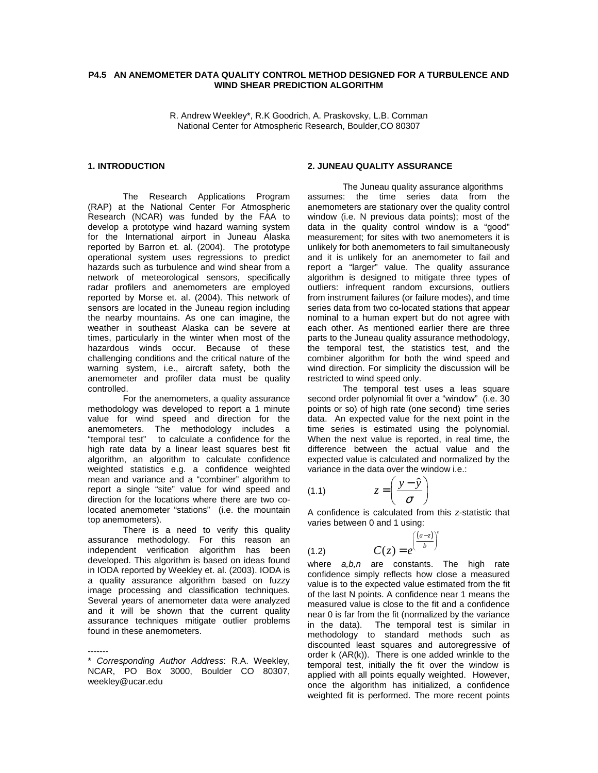### **P4.5 AN ANEMOMETER DATA QUALITY CONTROL METHOD DESIGNED FOR A TURBULENCE AND WIND SHEAR PREDICTION ALGORITHM**

R. Andrew Weekley\*, R.K Goodrich, A. Praskovsky, L.B. Cornman National Center for Atmospheric Research, Boulder,CO 80307

### **1. INTRODUCTION**

The Research Applications Program (RAP) at the National Center For Atmospheric Research (NCAR) was funded by the FAA to develop a prototype wind hazard warning system for the International airport in Juneau Alaska reported by Barron et. al. (2004). The prototype operational system uses regressions to predict hazards such as turbulence and wind shear from a network of meteorological sensors, specifically radar profilers and anemometers are employed reported by Morse et. al. (2004). This network of sensors are located in the Juneau region including the nearby mountains. As one can imagine, the weather in southeast Alaska can be severe at times, particularly in the winter when most of the hazardous winds occur. Because of these challenging conditions and the critical nature of the warning system, i.e., aircraft safety, both the anemometer and profiler data must be quality controlled.

For the anemometers, a quality assurance methodology was developed to report a 1 minute value for wind speed and direction for the anemometers. The methodology includes a "temporal test" to calculate a confidence for the high rate data by a linear least squares best fit algorithm, an algorithm to calculate confidence weighted statistics e.g. a confidence weighted mean and variance and a "combiner" algorithm to report a single "site" value for wind speed and direction for the locations where there are two colocated anemometer "stations" (i.e. the mountain top anemometers).

There is a need to verify this quality assurance methodology. For this reason an independent verification algorithm has been developed. This algorithm is based on ideas found in IODA reported by Weekley et. al. (2003). IODA is a quality assurance algorithm based on fuzzy image processing and classification techniques. Several years of anemometer data were analyzed and it will be shown that the current quality assurance techniques mitigate outlier problems found in these anemometers.

#### **2. JUNEAU QUALITY ASSURANCE**

The Juneau quality assurance algorithms assumes: the time series data from the anemometers are stationary over the quality control window (i.e. N previous data points); most of the data in the quality control window is a "good" measurement; for sites with two anemometers it is unlikely for both anemometers to fail simultaneously and it is unlikely for an anemometer to fail and report a "larger" value. The quality assurance algorithm is designed to mitigate three types of outliers: infrequent random excursions, outliers from instrument failures (or failure modes), and time series data from two co-located stations that appear nominal to a human expert but do not agree with each other. As mentioned earlier there are three parts to the Juneau quality assurance methodology, the temporal test, the statistics test, and the combiner algorithm for both the wind speed and wind direction. For simplicity the discussion will be restricted to wind speed only.

 The temporal test uses a leas square second order polynomial fit over a "window" (i.e. 30 points or so) of high rate (one second) time series data. An expected value for the next point in the time series is estimated using the polynomial. When the next value is reported, in real time, the difference between the actual value and the expected value is calculated and normalized by the variance in the data over the window i.e.:

$$
(1.1) \t z = \left(\frac{y - \hat{y}}{\sigma}\right)
$$

 $(1.2)$ 

A confidence is calculated from this z-statistic that varies between 0 and 1 using:

$$
C(z) = e^{\left(\frac{(a-z)}{b}\right)^n}
$$

where  $a,b,n$  are constants. The high rate confidence simply reflects how close a measured value is to the expected value estimated from the fit of the last N points. A confidence near 1 means the measured value is close to the fit and a confidence near 0 is far from the fit (normalized by the variance in the data). The temporal test is similar in methodology to standard methods such as discounted least squares and autoregressive of order k (AR(k)). There is one added wrinkle to the temporal test, initially the fit over the window is applied with all points equally weighted. However, once the algorithm has initialized, a confidence weighted fit is performed. The more recent points

<sup>-------</sup>  \* Corresponding Author Address: R.A. Weekley, NCAR, PO Box 3000, Boulder CO 80307, weekley@ucar.edu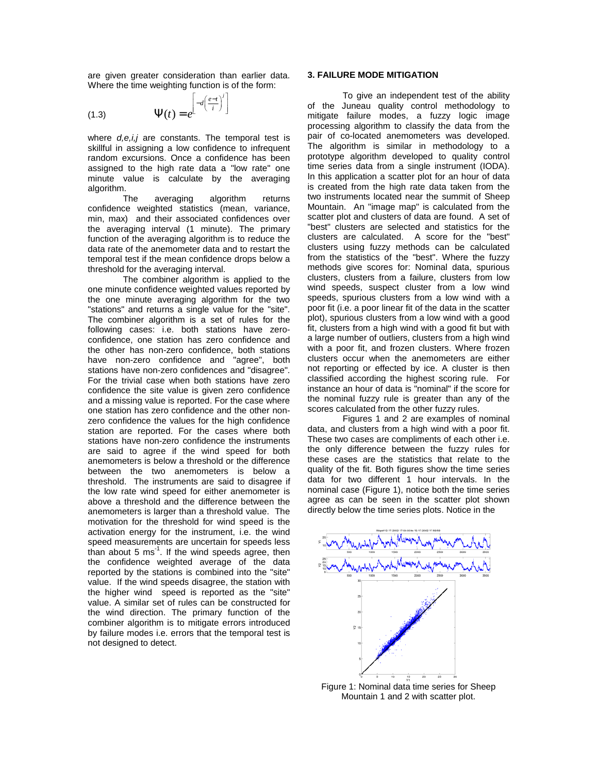are given greater consideration than earlier data. Where the time weighting function is of the form:

*i*

(1.3) 
$$
\Psi(t) = e^{\left[ -d\left(\frac{e-t}{i}\right)^i \right]}
$$

where  $d,e,i,j$  are constants. The temporal test is skillful in assigning a low confidence to infrequent random excursions. Once a confidence has been assigned to the high rate data a "low rate" one minute value is calculate by the averaging algorithm.

 The averaging algorithm returns confidence weighted statistics (mean, variance, min, max) and their associated confidences over the averaging interval (1 minute). The primary function of the averaging algorithm is to reduce the data rate of the anemometer data and to restart the temporal test if the mean confidence drops below a threshold for the averaging interval.

 The combiner algorithm is applied to the one minute confidence weighted values reported by the one minute averaging algorithm for the two "stations" and returns a single value for the "site". The combiner algorithm is a set of rules for the following cases: i.e. both stations have zeroconfidence, one station has zero confidence and the other has non-zero confidence, both stations have non-zero confidence and "agree", both stations have non-zero confidences and "disagree". For the trivial case when both stations have zero confidence the site value is given zero confidence and a missing value is reported. For the case where one station has zero confidence and the other nonzero confidence the values for the high confidence station are reported. For the cases where both stations have non-zero confidence the instruments are said to agree if the wind speed for both anemometers is below a threshold or the difference between the two anemometers is below a threshold. The instruments are said to disagree if the low rate wind speed for either anemometer is above a threshold and the difference between the anemometers is larger than a threshold value. The motivation for the threshold for wind speed is the activation energy for the instrument, i.e. the wind speed measurements are uncertain for speeds less than about 5  $ms<sup>-1</sup>$ . If the wind speeds agree, then the confidence weighted average of the data reported by the stations is combined into the "site" value. If the wind speeds disagree, the station with the higher wind speed is reported as the "site" value. A similar set of rules can be constructed for the wind direction. The primary function of the combiner algorithm is to mitigate errors introduced by failure modes i.e. errors that the temporal test is not designed to detect.

### **3. FAILURE MODE MITIGATION**

 To give an independent test of the ability of the Juneau quality control methodology to mitigate failure modes, a fuzzy logic image processing algorithm to classify the data from the pair of co-located anemometers was developed. The algorithm is similar in methodology to a prototype algorithm developed to quality control time series data from a single instrument (IODA). In this application a scatter plot for an hour of data is created from the high rate data taken from the two instruments located near the summit of Sheep Mountain. An "image map" is calculated from the scatter plot and clusters of data are found. A set of "best" clusters are selected and statistics for the clusters are calculated. A score for the "best" clusters using fuzzy methods can be calculated from the statistics of the "best". Where the fuzzy methods give scores for: Nominal data, spurious clusters, clusters from a failure, clusters from low wind speeds, suspect cluster from a low wind speeds, spurious clusters from a low wind with a poor fit (i.e. a poor linear fit of the data in the scatter plot), spurious clusters from a low wind with a good fit, clusters from a high wind with a good fit but with a large number of outliers, clusters from a high wind with a poor fit, and frozen clusters. Where frozen clusters occur when the anemometers are either not reporting or effected by ice. A cluster is then classified according the highest scoring rule. For instance an hour of data is "nominal" if the score for the nominal fuzzy rule is greater than any of the scores calculated from the other fuzzy rules.

 Figures 1 and 2 are examples of nominal data, and clusters from a high wind with a poor fit. These two cases are compliments of each other i.e. the only difference between the fuzzy rules for these cases are the statistics that relate to the quality of the fit. Both figures show the time series data for two different 1 hour intervals. In the nominal case (Figure 1), notice both the time series agree as can be seen in the scatter plot shown directly below the time series plots. Notice in the



Figure 1: Nominal data time series for Sheep Mountain 1 and 2 with scatter plot.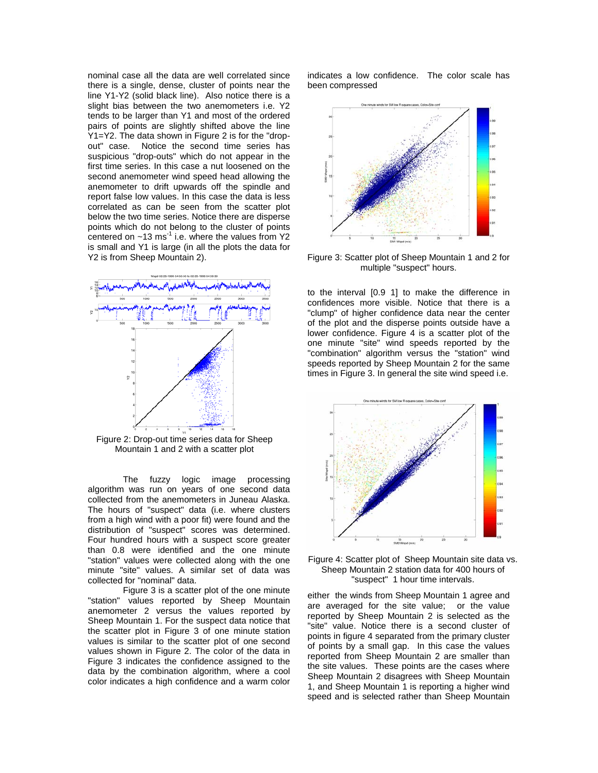nominal case all the data are well correlated since there is a single, dense, cluster of points near the line Y1-Y2 (solid black line). Also notice there is a slight bias between the two anemometers i.e. Y2 tends to be larger than Y1 and most of the ordered pairs of points are slightly shifted above the line Y1=Y2. The data shown in Figure 2 is for the "dropout" case. Notice the second time series has suspicious "drop-outs" which do not appear in the first time series. In this case a nut loosened on the second anemometer wind speed head allowing the anemometer to drift upwards off the spindle and report false low values. In this case the data is less correlated as can be seen from the scatter plot below the two time series. Notice there are disperse points which do not belong to the cluster of points centered on  $~13$  ms<sup>-1</sup> i.e. where the values from Y2 is small and Y1 is large (in all the plots the data for Y2 is from Sheep Mountain 2).



Figure 2: Drop-out time series data for Sheep Mountain 1 and 2 with a scatter plot

 The fuzzy logic image processing algorithm was run on years of one second data collected from the anemometers in Juneau Alaska. The hours of "suspect" data (i.e. where clusters from a high wind with a poor fit) were found and the distribution of "suspect" scores was determined. Four hundred hours with a suspect score greater than 0.8 were identified and the one minute "station" values were collected along with the one minute "site" values. A similar set of data was collected for "nominal" data.

 Figure 3 is a scatter plot of the one minute "station" values reported by Sheep Mountain anemometer 2 versus the values reported by Sheep Mountain 1. For the suspect data notice that the scatter plot in Figure 3 of one minute station values is similar to the scatter plot of one second values shown in Figure 2. The color of the data in Figure 3 indicates the confidence assigned to the data by the combination algorithm, where a cool color indicates a high confidence and a warm color

indicates a low confidence. The color scale has been compressed



Figure 3: Scatter plot of Sheep Mountain 1 and 2 for multiple "suspect" hours.

to the interval [0.9 1] to make the difference in confidences more visible. Notice that there is a "clump" of higher confidence data near the center of the plot and the disperse points outside have a lower confidence. Figure 4 is a scatter plot of the one minute "site" wind speeds reported by the "combination" algorithm versus the "station" wind speeds reported by Sheep Mountain 2 for the same times in Figure 3. In general the site wind speed i.e.



"suspect" 1 hour time intervals. Figure 4: Scatter plot of Sheep Mountain site data vs. Sheep Mountain 2 station data for 400 hours of

either the winds from Sheep Mountain 1 agree and are averaged for the site value; or the value reported by Sheep Mountain 2 is selected as the "site" value. Notice there is a second cluster of points in figure 4 separated from the primary cluster of points by a small gap. In this case the values reported from Sheep Mountain 2 are smaller than the site values. These points are the cases where Sheep Mountain 2 disagrees with Sheep Mountain 1, and Sheep Mountain 1 is reporting a higher wind speed and is selected rather than Sheep Mountain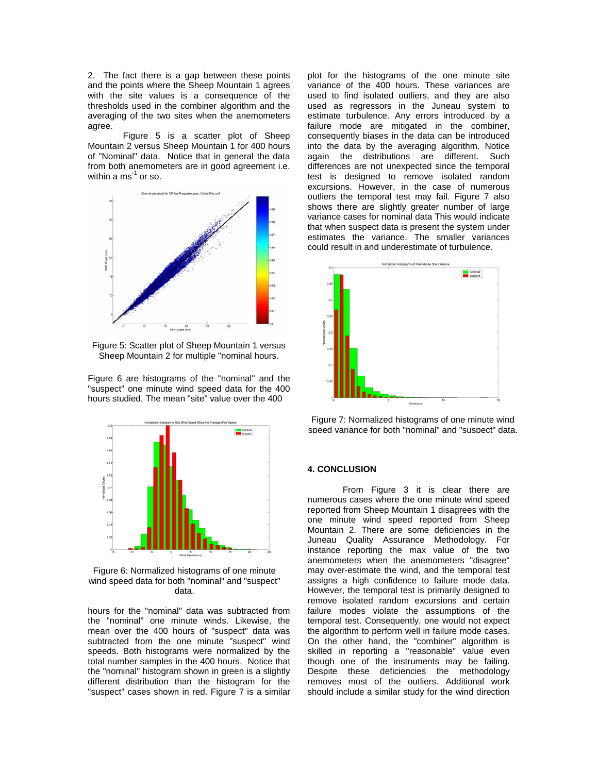2. The fact there is a gap between these points and the points where the Sheep Mountain 1 agrees with the site values is a consequence of the thresholds used in the combiner algorithm and the averaging of the two sites when the anemometers agree.

 Figure 5 is a scatter plot of Sheep Mountain 2 versus Sheep Mountain 1 for 400 hours of "Nominal" data. Notice that in general the data from both anemometers are in good agreement i.e. within a  $\text{ms}^{-1}$  or so.



Figure 5: Scatter plot of Sheep Mountain 1 versus Sheep Mountain 2 for multiple "nominal hours.

Figure 6 are histograms of the "nominal" and the "suspect" one minute wind speed data for the 400 hours studied. The mean "site" value over the 400



Figure 6: Normalized histograms of one minute wind speed data for both "nominal" and "suspect" data.

hours for the "nominal" data was subtracted from the "nominal" one minute winds. Likewise, the mean over the 400 hours of "suspect" data was subtracted from the one minute "suspect" wind speeds. Both histograms were normalized by the total number samples in the 400 hours. Notice that the "nominal" histogram shown in green is a slightly different distribution than the histogram for the "suspect" cases shown in red. Figure 7 is a similar

plot for the histograms of the one minute site variance of the 400 hours. These variances are used to find isolated outliers, and they are also used as regressors in the Juneau system to estimate turbulence. Any errors introduced by a failure mode are mitigated in the combiner, consequently biases in the data can be introduced into the data by the averaging algorithm. Notice again the distributions are different. Such differences are not unexpected since the temporal test is designed to remove isolated random excursions. However, in the case of numerous outliers the temporal test may fail. Figure 7 also shows there are slightly greater number of large variance cases for nominal data This would indicate that when suspect data is present the system under estimates the variance. The smaller variances could result in and underestimate of turbulence.





#### **4. CONCLUSION**

 From Figure 3 it is clear there are numerous cases where the one minute wind speed reported from Sheep Mountain 1 disagrees with the one minute wind speed reported from Sheep Mountain 2. There are some deficiencies in the Juneau Quality Assurance Methodology. For instance reporting the max value of the two anemometers when the anemometers "disagree" may over-estimate the wind, and the temporal test assigns a high confidence to failure mode data. However, the temporal test is primarily designed to remove isolated random excursions and certain failure modes violate the assumptions of the temporal test. Consequently, one would not expect the algorithm to perform well in failure mode cases. On the other hand, the "combiner" algorithm is skilled in reporting a "reasonable" value even though one of the instruments may be failing. Despite these deficiencies the methodology removes most of the outliers. Additional work should include a similar study for the wind direction